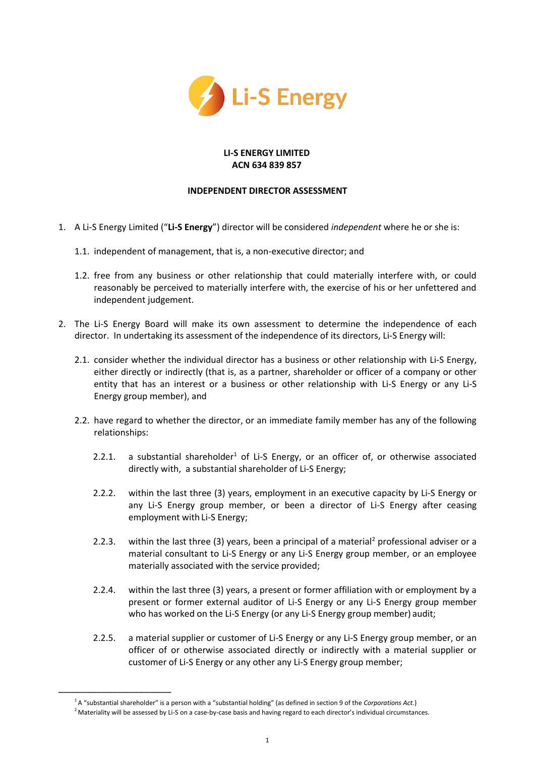

## **LI-S ENERGY LIMITED ACN 634 839 857**

## **INDEPENDENT DIRECTOR ASSESSMENT**

- 1. A Li-S Energy Limited ("**Li-S Energy**") director will be considered *independent* where he or she is:
	- 1.1. independent of management, that is, a non-executive director; and
	- 1.2. free from any business or other relationship that could materially interfere with, or could reasonably be perceived to materially interfere with, the exercise of his or her unfettered and independent judgement.
- 2. The Li-S Energy Board will make its own assessment to determine the independence of each director. In undertaking its assessment of the independence of its directors, Li-S Energy will:
	- 2.1. consider whether the individual director has a business or other relationship with Li-S Energy, either directly or indirectly (that is, as a partner, shareholder or officer of a company or other entity that has an interest or a business or other relationship with Li-S Energy or any Li-S Energy group member), and
	- 2.2. have regard to whether the director, or an immediate family member has any of the following relationships:
		- 2.2.1. a substantial shareholder<sup>1</sup> of Li-S Energy, or an officer of, or otherwise associated directly with, a substantial shareholder of Li-S Energy;
		- 2.2.2. within the last three (3) years, employment in an executive capacity by Li-S Energy or any Li-S Energy group member, or been a director of Li-S Energy after ceasing employment with Li-S Energy;
		- 2.2.3. within the last three (3) years, been a principal of a material<sup>2</sup> professional adviser or a material consultant to Li-S Energy or any Li-S Energy group member, or an employee materially associated with the service provided;
		- 2.2.4. within the last three (3) years, a present or former affiliation with or employment by a present or former external auditor of Li-S Energy or any Li-S Energy group member who has worked on the Li-S Energy (or any Li-S Energy group member) audit;
		- 2.2.5. a material supplier or customer of Li-S Energy or any Li-S Energy group member, or an officer of or otherwise associated directly or indirectly with a material supplier or customer of Li-S Energy or any other any Li-S Energy group member;

\_\_\_\_\_\_\_\_\_\_\_\_\_\_\_\_\_\_\_\_\_

<sup>1</sup>A "substantial shareholder" is a person with a "substantial holding" (as defined in section 9 of the *Corporations Act.*)

 $<sup>2</sup>$  Materiality will be assessed by Li-S on a case-by-case basis and having regard to each director's individual circumstances.</sup>